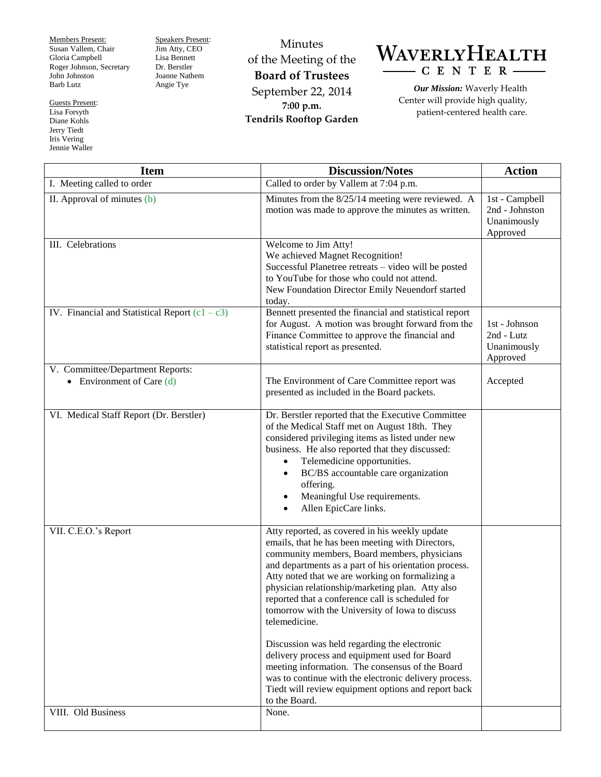Members Present: Susan Vallem, Chair Gloria Campbell Roger Johnson, Secretary John Johnston Barb Lutz

Guests Present: Lisa Forsyth Diane Kohls Jerry Tiedt Iris Vering Jennie Waller

Speakers Present: Jim Atty, CEO Lisa Bennett Dr. Berstler Joanne Nathem Angie Tye

Minutes of the Meeting of the **Board of Trustees** September 22, 2014 **7:00 p.m. Tendrils Rooftop Garden**



*Our Mission:* Waverly Health Center will provide high quality, patient-centered health care.

| <b>Item</b>                                                     | <b>Discussion/Notes</b>                                                                                                                                                                                                                                                                                                                                                                                                                                                                    | <b>Action</b>                                               |
|-----------------------------------------------------------------|--------------------------------------------------------------------------------------------------------------------------------------------------------------------------------------------------------------------------------------------------------------------------------------------------------------------------------------------------------------------------------------------------------------------------------------------------------------------------------------------|-------------------------------------------------------------|
| I. Meeting called to order                                      | Called to order by Vallem at 7:04 p.m.                                                                                                                                                                                                                                                                                                                                                                                                                                                     |                                                             |
| II. Approval of minutes (b)                                     | Minutes from the 8/25/14 meeting were reviewed. A<br>motion was made to approve the minutes as written.                                                                                                                                                                                                                                                                                                                                                                                    | 1st - Campbell<br>2nd - Johnston<br>Unanimously<br>Approved |
| III. Celebrations                                               | Welcome to Jim Atty!<br>We achieved Magnet Recognition!<br>Successful Planetree retreats - video will be posted<br>to YouTube for those who could not attend.<br>New Foundation Director Emily Neuendorf started<br>today.                                                                                                                                                                                                                                                                 |                                                             |
| IV. Financial and Statistical Report $(c1 - c3)$                | Bennett presented the financial and statistical report<br>for August. A motion was brought forward from the<br>Finance Committee to approve the financial and<br>statistical report as presented.                                                                                                                                                                                                                                                                                          | 1st - Johnson<br>2nd - Lutz<br>Unanimously<br>Approved      |
| V. Committee/Department Reports:<br>• Environment of Care $(d)$ | The Environment of Care Committee report was<br>presented as included in the Board packets.                                                                                                                                                                                                                                                                                                                                                                                                | Accepted                                                    |
| VI. Medical Staff Report (Dr. Berstler)                         | Dr. Berstler reported that the Executive Committee<br>of the Medical Staff met on August 18th. They<br>considered privileging items as listed under new<br>business. He also reported that they discussed:<br>Telemedicine opportunities.<br>$\bullet$<br>BC/BS accountable care organization<br>offering.<br>Meaningful Use requirements.<br>Allen EpicCare links.                                                                                                                        |                                                             |
| VII. C.E.O.'s Report                                            | Atty reported, as covered in his weekly update<br>emails, that he has been meeting with Directors,<br>community members, Board members, physicians<br>and departments as a part of his orientation process.<br>Atty noted that we are working on formalizing a<br>physician relationship/marketing plan. Atty also<br>reported that a conference call is scheduled for<br>tomorrow with the University of Iowa to discuss<br>telemedicine.<br>Discussion was held regarding the electronic |                                                             |
| VIII. Old Business                                              | delivery process and equipment used for Board<br>meeting information. The consensus of the Board<br>was to continue with the electronic delivery process.<br>Tiedt will review equipment options and report back<br>to the Board.<br>None.                                                                                                                                                                                                                                                 |                                                             |
|                                                                 |                                                                                                                                                                                                                                                                                                                                                                                                                                                                                            |                                                             |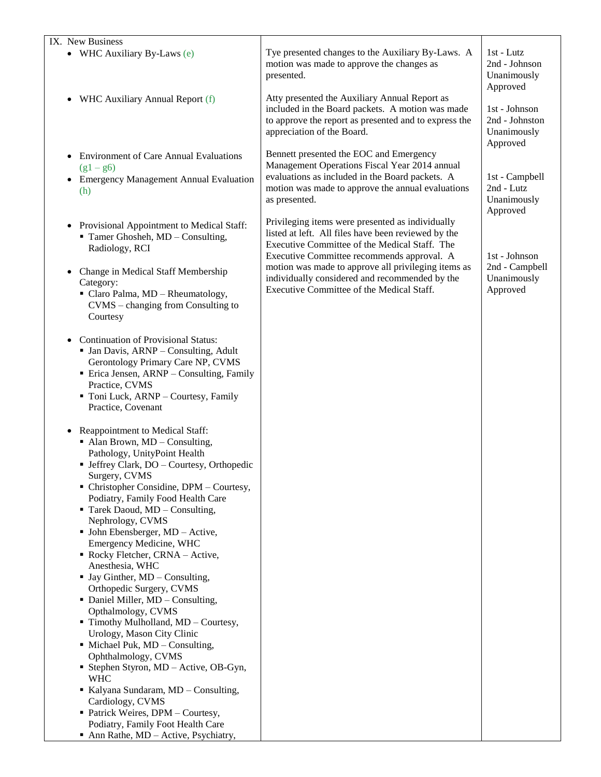| IX. New Business                                                                                                                                                                                                                                                                                                                                                                                                                                                                                                                                                                                                                                                                                                                                                                                                                                                                                                                                                            |                                                                                                                                                                                                                                                                                                                                                              |                                                            |
|-----------------------------------------------------------------------------------------------------------------------------------------------------------------------------------------------------------------------------------------------------------------------------------------------------------------------------------------------------------------------------------------------------------------------------------------------------------------------------------------------------------------------------------------------------------------------------------------------------------------------------------------------------------------------------------------------------------------------------------------------------------------------------------------------------------------------------------------------------------------------------------------------------------------------------------------------------------------------------|--------------------------------------------------------------------------------------------------------------------------------------------------------------------------------------------------------------------------------------------------------------------------------------------------------------------------------------------------------------|------------------------------------------------------------|
| • WHC Auxiliary By-Laws (e)                                                                                                                                                                                                                                                                                                                                                                                                                                                                                                                                                                                                                                                                                                                                                                                                                                                                                                                                                 | Tye presented changes to the Auxiliary By-Laws. A<br>motion was made to approve the changes as<br>presented.                                                                                                                                                                                                                                                 | 1st - Lutz<br>2nd - Johnson<br>Unanimously<br>Approved     |
| WHC Auxiliary Annual Report (f)<br>$\bullet$                                                                                                                                                                                                                                                                                                                                                                                                                                                                                                                                                                                                                                                                                                                                                                                                                                                                                                                                | Atty presented the Auxiliary Annual Report as<br>included in the Board packets. A motion was made<br>to approve the report as presented and to express the<br>appreciation of the Board.                                                                                                                                                                     | 1st - Johnson<br>2nd - Johnston<br>Unanimously<br>Approved |
| <b>Environment of Care Annual Evaluations</b><br>$(g1 - g6)$<br><b>Emergency Management Annual Evaluation</b><br>(h)                                                                                                                                                                                                                                                                                                                                                                                                                                                                                                                                                                                                                                                                                                                                                                                                                                                        | Bennett presented the EOC and Emergency<br>Management Operations Fiscal Year 2014 annual<br>evaluations as included in the Board packets. A<br>motion was made to approve the annual evaluations<br>as presented.                                                                                                                                            | 1st - Campbell<br>2nd - Lutz<br>Unanimously<br>Approved    |
| • Provisional Appointment to Medical Staff:<br>Tamer Ghosheh, MD - Consulting,<br>Radiology, RCI<br>Change in Medical Staff Membership<br>$\bullet$<br>Category:<br>• Claro Palma, MD - Rheumatology,<br>CVMS – changing from Consulting to<br>Courtesy                                                                                                                                                                                                                                                                                                                                                                                                                                                                                                                                                                                                                                                                                                                     | Privileging items were presented as individually<br>listed at left. All files have been reviewed by the<br>Executive Committee of the Medical Staff. The<br>Executive Committee recommends approval. A<br>motion was made to approve all privileging items as<br>individually considered and recommended by the<br>Executive Committee of the Medical Staff. | 1st - Johnson<br>2nd - Campbell<br>Unanimously<br>Approved |
| <b>Continuation of Provisional Status:</b><br>• Jan Davis, ARNP - Consulting, Adult<br>Gerontology Primary Care NP, CVMS<br>• Erica Jensen, ARNP – Consulting, Family<br>Practice, CVMS<br>Toni Luck, ARNP - Courtesy, Family<br>Practice, Covenant                                                                                                                                                                                                                                                                                                                                                                                                                                                                                                                                                                                                                                                                                                                         |                                                                                                                                                                                                                                                                                                                                                              |                                                            |
| Reappointment to Medical Staff:<br>$\bullet$<br>$\blacksquare$ Alan Brown, MD – Consulting,<br>Pathology, UnityPoint Health<br>• Jeffrey Clark, DO – Courtesy, Orthopedic<br>Surgery, CVMS<br>• Christopher Considine, DPM - Courtesy,<br>Podiatry, Family Food Health Care<br>Tarek Daoud, MD - Consulting,<br>Nephrology, CVMS<br>$\blacksquare$ John Ebensberger, MD - Active,<br>Emergency Medicine, WHC<br>Rocky Fletcher, CRNA - Active,<br>Anesthesia, WHC<br>$\blacksquare$ Jay Ginther, MD – Consulting,<br>Orthopedic Surgery, CVMS<br>• Daniel Miller, MD - Consulting,<br>Opthalmology, CVMS<br>Timothy Mulholland, MD - Courtesy,<br>Urology, Mason City Clinic<br>• Michael Puk, MD - Consulting,<br>Ophthalmology, CVMS<br>• Stephen Styron, MD – Active, OB-Gyn,<br><b>WHC</b><br>Kalyana Sundaram, MD - Consulting,<br>Cardiology, CVMS<br>• Patrick Weires, DPM - Courtesy,<br>Podiatry, Family Foot Health Care<br>• Ann Rathe, MD – Active, Psychiatry, |                                                                                                                                                                                                                                                                                                                                                              |                                                            |